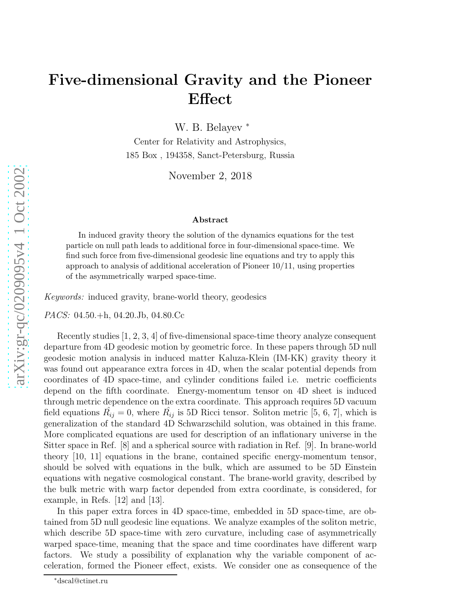## Five-dimensional Gravity and the Pioneer Effect

W. B. Belayev<sup>\*</sup>

Center for Relativity and Astrophysics, 185 Box , 194358, Sanct-Petersburg, Russia

November 2, 2018

## Abstract

In induced gravity theory the solution of the dynamics equations for the test particle on null path leads to additional force in four-dimensional space-time. We find such force from five-dimensional geodesic line equations and try to apply this approach to analysis of additional acceleration of Pioneer 10/11, using properties of the asymmetrically warped space-time.

Keywords: induced gravity, brane-world theory, geodesics

PACS: 04.50.+h, 04.20.Jb, 04.80.Cc

Recently studies [1, 2, 3, 4] of five-dimensional space-time theory analyze consequent departure from 4D geodesic motion by geometric force. In these papers through 5D null geodesic motion analysis in induced matter Kaluza-Klein (IM-KK) gravity theory it was found out appearance extra forces in 4D, when the scalar potential depends from coordinates of 4D space-time, and cylinder conditions failed i.e. metric coefficients depend on the fifth coordinate. Energy-momentum tensor on 4D sheet is induced through metric dependence on the extra coordinate. This approach requires 5D vacuum field equations  $\hat{R_{ij}} = 0$ , where  $\hat{R_{ij}}$  is 5D Ricci tensor. Soliton metric [5, 6, 7], which is generalization of the standard 4D Schwarzschild solution, was obtained in this frame. More complicated equations are used for description of an inflationary universe in the Sitter space in Ref. [8] and a spherical source with radiation in Ref. [9]. In brane-world theory [10, 11] equations in the brane, contained specific energy-momentum tensor, should be solved with equations in the bulk, which are assumed to be 5D Einstein equations with negative cosmological constant. The brane-world gravity, described by the bulk metric with warp factor depended from extra coordinate, is considered, for example, in Refs. [12] and [13].

In this paper extra forces in 4D space-time, embedded in 5D space-time, are obtained from 5D null geodesic line equations. We analyze examples of the soliton metric, which describe 5D space-time with zero curvature, including case of asymmetrically warped space-time, meaning that the space and time coordinates have different warp factors. We study a possibility of explanation why the variable component of acceleration, formed the Pioneer effect, exists. We consider one as consequence of the

<sup>∗</sup>dscal@ctinet.ru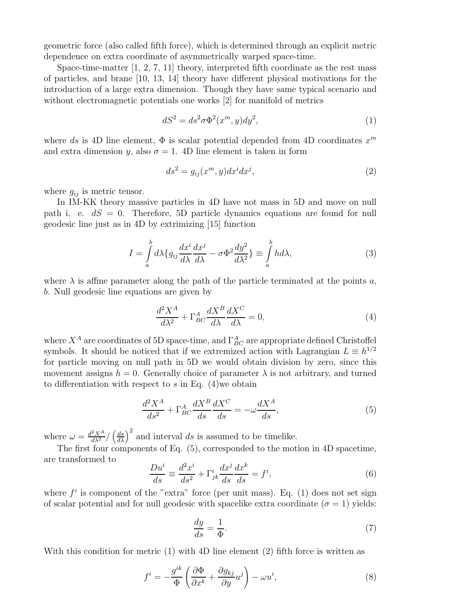geometric force (also called fifth force), which is determined through an explicit metric dependence on extra coordinate of asymmetrically warped space-time.

Space-time-matter  $[1, 2, 7, 11]$  theory, interpreted fifth coordinate as the rest mass of particles, and brane [10, 13, 14] theory have different physical motivations for the introduction of a large extra dimension. Though they have same typical scenario and without electromagnetic potentials one works [2] for manifold of metrics

$$
dS^2 = ds^2 \sigma \Phi^2(x^m, y) dy^2,
$$
\n<sup>(1)</sup>

where ds is 4D line element,  $\Phi$  is scalar potential depended from 4D coordinates  $x^m$ and extra dimension y, also  $\sigma = 1$ . 4D line element is taken in form

$$
ds^2 = g_{ij}(x^m, y)dx^i dx^j,
$$
\n(2)

where  $g_{ij}$  is metric tensor.

In IM-KK theory massive particles in 4D have not mass in 5D and move on null path i. e.  $dS = 0$ . Therefore, 5D particle dynamics equations are found for null geodesic line just as in 4D by extrimizing [15] function

$$
I = \int_{a}^{b} d\lambda \{g_{ij}\frac{dx^{i}}{d\lambda}\frac{dx^{j}}{d\lambda} - \sigma \Phi^{2} \frac{dy^{2}}{d\lambda^{2}}\} \equiv \int_{a}^{b} hd\lambda,
$$
 (3)

where  $\lambda$  is affine parameter along the path of the particle terminated at the points a, b. Null geodesic line equations are given by

$$
\frac{d^2X^A}{d\lambda^2} + \Gamma^A_{BC} \frac{dX^B}{d\lambda} \frac{dX^C}{d\lambda} = 0,\tag{4}
$$

where  $X^A$  are coordinates of 5D space-time, and  $\Gamma^A_{BC}$  are appropriate defined Christoffel symbols. It should be noticed that if we extremized action with Lagrangian  $L \equiv h^{1/2}$ for particle moving on null path in 5D we would obtain division by zero, since this movement assigns  $h = 0$ . Generally choice of parameter  $\lambda$  is not arbitrary, and turned to differentiation with respect to  $s$  in Eq. (4)we obtain

$$
\frac{d^2X^A}{ds^2} + \Gamma^A_{BC} \frac{dX^B}{ds} \frac{dX^C}{ds} = -\omega \frac{dX^A}{ds},\tag{5}
$$

where  $\omega = \frac{d^2 X^A}{d\lambda^2} / \left(\frac{ds}{d\lambda}\right)^2$  and interval ds is assumed to be timelike.

The first four components of Eq. (5), corresponded to the motion in 4D spacetime, are transformed to

$$
\frac{Du^i}{ds} \equiv \frac{d^2x^i}{ds^2} + \Gamma^i_{jk}\frac{dx^j}{ds}\frac{dx^k}{ds} = f^i,\tag{6}
$$

where  $f^i$  is component of the "extra" force (per unit mass). Eq. (1) does not set sign of scalar potential and for null geodesic with spacelike extra coordinate  $(\sigma = 1)$  yields:

$$
\frac{dy}{ds} = \frac{1}{\Phi}.\tag{7}
$$

With this condition for metric (1) with 4D line element (2) fifth force is written as

$$
f^{i} = -\frac{g^{ik}}{\Phi} \left( \frac{\partial \Phi}{\partial x^{k}} + \frac{\partial g_{kj}}{\partial y} u^{j} \right) - \omega u^{i},\tag{8}
$$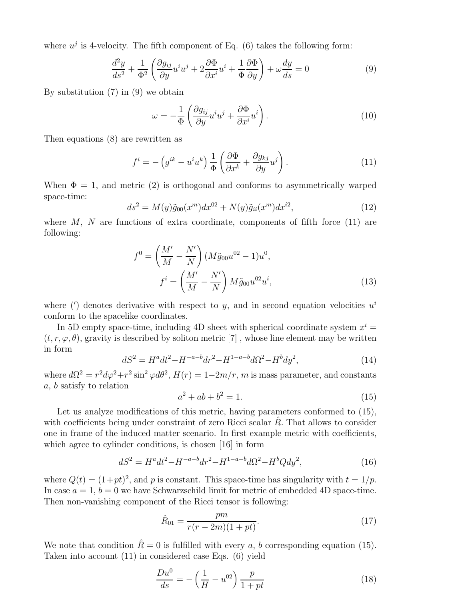where  $u^j$  is 4-velocity. The fifth component of Eq. (6) takes the following form:

$$
\frac{d^2y}{ds^2} + \frac{1}{\Phi^2} \left( \frac{\partial g_{ij}}{\partial y} u^i u^j + 2 \frac{\partial \Phi}{\partial x^i} u^i + \frac{1}{\Phi} \frac{\partial \Phi}{\partial y} \right) + \omega \frac{dy}{ds} = 0
$$
\n(9)

By substitution (7) in (9) we obtain

$$
\omega = -\frac{1}{\Phi} \left( \frac{\partial g_{ij}}{\partial y} u^i u^j + \frac{\partial \Phi}{\partial x^i} u^i \right). \tag{10}
$$

Then equations (8) are rewritten as

$$
f^{i} = -\left(g^{ik} - u^{i}u^{k}\right)\frac{1}{\Phi}\left(\frac{\partial\Phi}{\partial x^{k}} + \frac{\partial g_{kj}}{\partial y}u^{j}\right). \tag{11}
$$

When  $\Phi = 1$ , and metric (2) is orthogonal and conforms to asymmetrically warped space-time:

$$
ds^{2} = M(y)\tilde{g}_{00}(x^{m})dx^{02} + N(y)\tilde{g}_{ii}(x^{m})dx^{i2},
$$
\n(12)

where  $M$ ,  $N$  are functions of extra coordinate, components of fifth force (11) are following:

$$
f^{0} = \left(\frac{M'}{M} - \frac{N'}{N}\right) (M\tilde{g}_{00}u^{02} - 1)u^{0},
$$
  

$$
f^{i} = \left(\frac{M'}{M} - \frac{N'}{N}\right) M\tilde{g}_{00}u^{02}u^{i},
$$
 (13)

where (') denotes derivative with respect to y, and in second equation velocities  $u^i$ conform to the spacelike coordinates.

In 5D empty space-time, including 4D sheet with spherical coordinate system  $x^i =$  $(t, r, \varphi, \theta)$ , gravity is described by soliton metric [7], whose line element may be written in form

$$
dS^2 = H^a dt^2 - H^{-a-b} dr^2 - H^{1-a-b} d\Omega^2 - H^b dy^2,
$$
\n(14)

where  $d\Omega^2 = r^2 d\varphi^2 + r^2 \sin^2 \varphi d\theta^2$ ,  $H(r) = 1 - 2m/r$ , m is mass parameter, and constants a, b satisfy to relation

$$
a^2 + ab + b^2 = 1.\t(15)
$$

Let us analyze modifications of this metric, having parameters conformed to  $(15)$ , with coefficients being under constraint of zero Ricci scalar  $R$ . That allows to consider one in frame of the induced matter scenario. In first example metric with coefficients, which agree to cylinder conditions, is chosen [16] in form

$$
dS^{2} = H^{a}dt^{2} - H^{-a-b}dr^{2} - H^{1-a-b}d\Omega^{2} - H^{b}Qdy^{2},
$$
\n(16)

where  $Q(t) = (1+pt)^2$ , and p is constant. This space-time has singularity with  $t = 1/p$ . In case  $a = 1$ ,  $b = 0$  we have Schwarzschild limit for metric of embedded 4D space-time. Then non-vanishing component of the Ricci tensor is following:

$$
\hat{R}_{01} = \frac{pm}{r(r-2m)(1+pt)}.\tag{17}
$$

We note that condition  $\hat{R} = 0$  is fulfilled with every a, b corresponding equation (15). Taken into account (11) in considered case Eqs. (6) yield

$$
\frac{Du^0}{ds} = -\left(\frac{1}{H} - u^{02}\right)\frac{p}{1+pt}
$$
\n(18)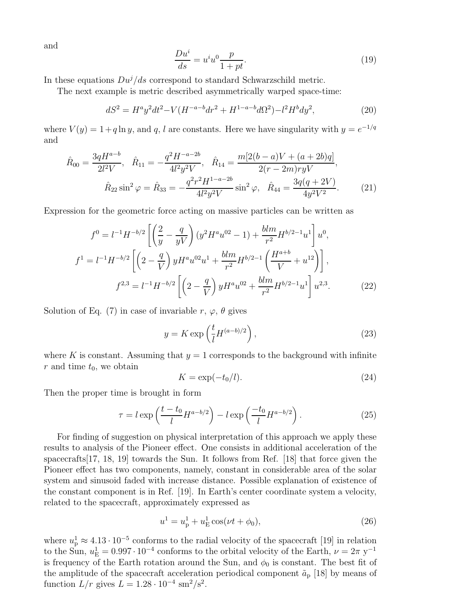and

$$
\frac{Du^i}{ds} = u^i u^0 \frac{p}{1+pt}.\tag{19}
$$

In these equations  $Du^{j}/ds$  correspond to standard Schwarzschild metric.

The next example is metric described asymmetrically warped space-time:

$$
dS^{2} = H^{a}y^{2}dt^{2} - V(H^{-a-b}dr^{2} + H^{1-a-b}d\Omega^{2}) - l^{2}H^{b}dy^{2},
$$
\n(20)

where  $V(y) = 1 + q \ln y$ , and q, l are constants. Here we have singularity with  $y = e^{-1/q}$ and

$$
\hat{R}_{00} = \frac{3qH^{a-b}}{2l^2V}, \quad \hat{R}_{11} = -\frac{q^2H^{-a-2b}}{4l^2y^2V}, \quad \hat{R}_{14} = \frac{m[2(b-a)V + (a+2b)q]}{2(r-2m)ryV},
$$
\n
$$
\hat{R}_{22}\sin^2\varphi = \hat{R}_{33} = -\frac{q^2r^2H^{1-a-2b}}{4l^2y^2V}\sin^2\varphi, \quad \hat{R}_{44} = \frac{3q(q+2V)}{4y^2V^2}.
$$
\n(21)

Expression for the geometric force acting on massive particles can be written as

$$
f^{0} = l^{-1}H^{-b/2} \left[ \left( \frac{2}{y} - \frac{q}{yV} \right) (y^{2}H^{a}u^{02} - 1) + \frac{blm}{r^{2}} H^{b/2-1}u^{1} \right] u^{0},
$$
  
\n
$$
f^{1} = l^{-1}H^{-b/2} \left[ \left( 2 - \frac{q}{V} \right) yH^{a}u^{02}u^{1} + \frac{blm}{r^{2}} H^{b/2-1} \left( \frac{H^{a+b}}{V} + u^{12} \right) \right],
$$
  
\n
$$
f^{2,3} = l^{-1}H^{-b/2} \left[ \left( 2 - \frac{q}{V} \right) yH^{a}u^{02} + \frac{blm}{r^{2}} H^{b/2-1}u^{1} \right] u^{2,3}.
$$
\n(22)

Solution of Eq. (7) in case of invariable r,  $\varphi$ ,  $\theta$  gives

$$
y = K \exp\left(\frac{t}{l} H^{(a-b)/2}\right),\tag{23}
$$

where K is constant. Assuming that  $y = 1$  corresponds to the background with infinite r and time  $t_0$ , we obtain

$$
K = \exp(-t_0/l). \tag{24}
$$

Then the proper time is brought in form

$$
\tau = l \exp\left(\frac{t - t_0}{l} H^{a - b/2}\right) - l \exp\left(\frac{-t_0}{l} H^{a - b/2}\right). \tag{25}
$$

For finding of suggestion on physical interpretation of this approach we apply these results to analysis of the Pioneer effect. One consists in additional acceleration of the spacecrafts[17, 18, 19] towards the Sun. It follows from Ref. [18] that force given the Pioneer effect has two components, namely, constant in considerable area of the solar system and sinusoid faded with increase distance. Possible explanation of existence of the constant component is in Ref. [19]. In Earth's center coordinate system a velocity, related to the spacecraft, approximately expressed as

$$
u^{1} = u_{p}^{1} + u_{E}^{1} \cos(\nu t + \phi_{0}), \qquad (26)
$$

where  $u_{\rm p}^1 \approx 4.13 \cdot 10^{-5}$  conforms to the radial velocity of the spacecraft [19] in relation to the Sun,  $u_{\rm E}^1 = 0.997 \cdot 10^{-4}$  conforms to the orbital velocity of the Earth,  $\nu = 2\pi$  y<sup>-1</sup> is frequency of the Earth rotation around the Sun, and  $\phi_0$  is constant. The best fit of the amplitude of the spacecraft acceleration periodical component  $\tilde{a}_{\rm p}$  [18] by means of function  $L/r$  gives  $L = 1.28 \cdot 10^{-4}$  sm<sup>2</sup>/s<sup>2</sup>.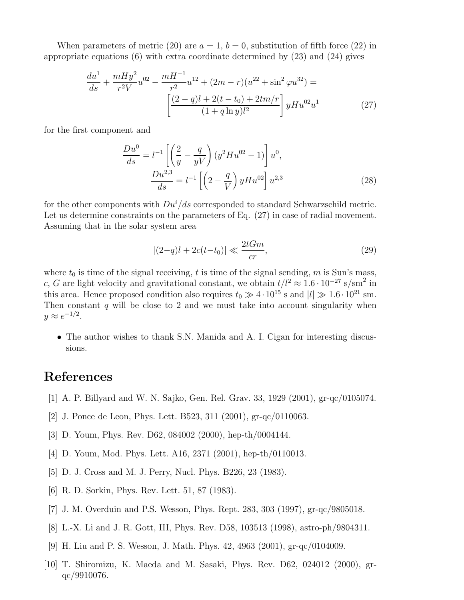When parameters of metric (20) are  $a = 1, b = 0$ , substitution of fifth force (22) in appropriate equations  $(6)$  with extra coordinate determined by  $(23)$  and  $(24)$  gives

$$
\frac{du^1}{ds} + \frac{mHy^2}{r^2V}u^{02} - \frac{mH^{-1}}{r^2}u^{12} + (2m - r)(u^{22} + \sin^2\varphi u^{32}) =
$$

$$
\left[\frac{(2 - q)l + 2(t - t_0) + 2tm/r}{(1 + q \ln y)l^2}\right]yHu^{02}u^1 \tag{27}
$$

for the first component and

$$
\frac{Du^0}{ds} = l^{-1} \left[ \left( \frac{2}{y} - \frac{q}{yV} \right) (y^2 H u^{02} - 1) \right] u^0,
$$
  

$$
\frac{Du^{2,3}}{ds} = l^{-1} \left[ \left( 2 - \frac{q}{V} \right) y Hu^{02} \right] u^{2,3}
$$
(28)

for the other components with  $Du^i/ds$  corresponded to standard Schwarzschild metric. Let us determine constraints on the parameters of Eq.  $(27)$  in case of radial movement. Assuming that in the solar system area

$$
|(2-q)l + 2c(t-t_0)| \ll \frac{2tGm}{cr},
$$
\n(29)

where  $t_0$  is time of the signal receiving, t is time of the signal sending, m is Sun's mass, c, G are light velocity and gravitational constant, we obtain  $t/l^2 \approx 1.6 \cdot 10^{-27}$  s/sm<sup>2</sup> in this area. Hence proposed condition also requires  $t_0 \gg 4 \cdot 10^{15}$  s and  $|l| \gg 1.6 \cdot 10^{21}$  sm. Then constant q will be close to 2 and we must take into account singularity when  $y \approx e^{-1/2}.$ 

• The author wishes to thank S.N. Manida and A. I. Cigan for interesting discussions.

## References

- [1] A. P. Billyard and W. N. Sajko, Gen. Rel. Grav. 33, 1929 (2001), gr-qc/0105074.
- [2] J. Ponce de Leon, Phys. Lett. B523, 311 (2001), gr-qc/0110063.
- [3] D. Youm, Phys. Rev. D62, 084002 (2000), hep-th/0004144.
- [4] D. Youm, Mod. Phys. Lett. A16, 2371 (2001), hep-th/0110013.
- [5] D. J. Cross and M. J. Perry, Nucl. Phys. B226, 23 (1983).
- [6] R. D. Sorkin, Phys. Rev. Lett. 51, 87 (1983).
- [7] J. M. Overduin and P.S. Wesson, Phys. Rept. 283, 303 (1997), gr-qc/9805018.
- [8] L.-X. Li and J. R. Gott, III, Phys. Rev. D58, 103513 (1998), astro-ph/9804311.
- [9] H. Liu and P. S. Wesson, J. Math. Phys. 42, 4963 (2001), gr-qc/0104009.
- [10] T. Shiromizu, K. Maeda and M. Sasaki, Phys. Rev. D62, 024012 (2000), grqc/9910076.